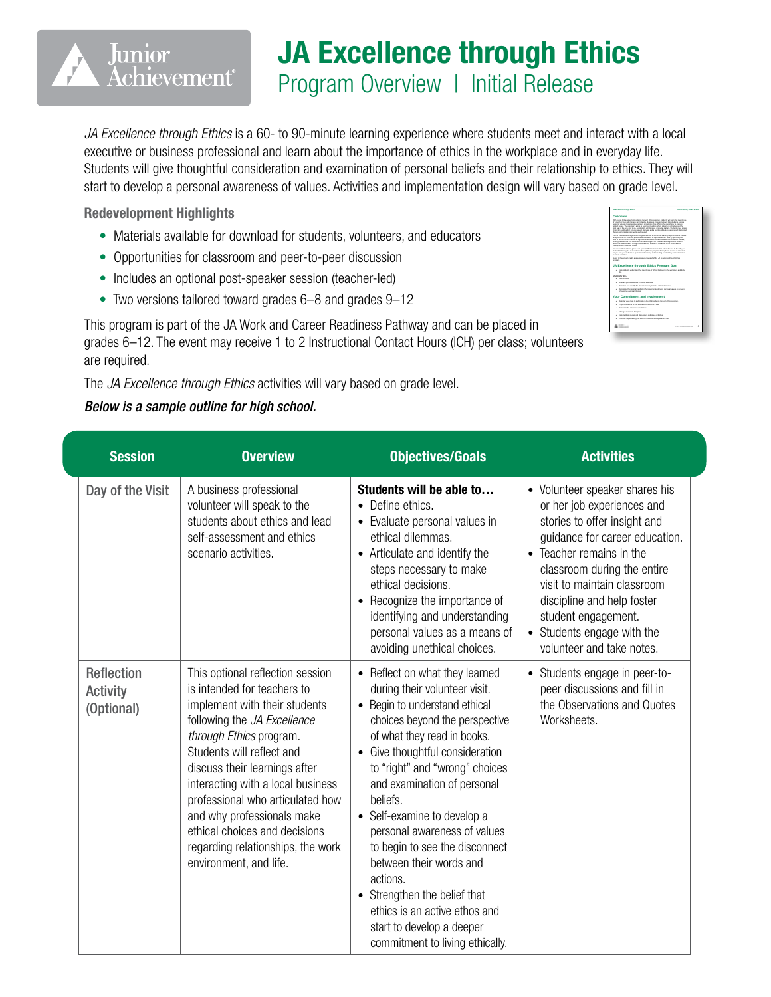## JA Excellence through Ethics

Program Overview | Initial Release

*JA Excellence through Ethics* is a 60- to 90-minute learning experience where students meet and interact with a local executive or business professional and learn about the importance of ethics in the workplace and in everyday life. Students will give thoughtful consideration and examination of personal beliefs and their relationship to ethics. They will start to develop a personal awareness of values. Activities and implementation design will vary based on grade level.

Redevelopment Highlights

Junior

*Achievement*®

- Materials available for download for students, volunteers, and educators
- Opportunities for classroom and peer-to-peer discussion
- Includes an optional post-speaker session (teacher-led)
- Two versions tailored toward grades 6–8 and grades 9–12

This program is part of the JA Work and Career Readiness Pathway and can be placed in grades 6–12. The event may receive 1 to 2 Instructional Contact Hours (ICH) per class; volunteers are required.

The *JA Excellence through Ethics* activities will vary based on grade level.

## *Below is a sample outline for high school.*

| <b>Session</b>                                     | <b>Overview</b>                                                                                                                                                                                                                                                                                                                                                                                                                 | <b>Objectives/Goals</b>                                                                                                                                                                                                                                                                                                                                                                                                                                                                                                                                             | <b>Activities</b>                                                                                                                                                                                                                                                                                                                        |
|----------------------------------------------------|---------------------------------------------------------------------------------------------------------------------------------------------------------------------------------------------------------------------------------------------------------------------------------------------------------------------------------------------------------------------------------------------------------------------------------|---------------------------------------------------------------------------------------------------------------------------------------------------------------------------------------------------------------------------------------------------------------------------------------------------------------------------------------------------------------------------------------------------------------------------------------------------------------------------------------------------------------------------------------------------------------------|------------------------------------------------------------------------------------------------------------------------------------------------------------------------------------------------------------------------------------------------------------------------------------------------------------------------------------------|
| Day of the Visit                                   | A business professional<br>volunteer will speak to the<br>students about ethics and lead<br>self-assessment and ethics<br>scenario activities.                                                                                                                                                                                                                                                                                  | Students will be able to<br>• Define ethics.<br>• Evaluate personal values in<br>ethical dilemmas.<br>• Articulate and identify the<br>steps necessary to make<br>ethical decisions.<br>• Recognize the importance of<br>identifying and understanding<br>personal values as a means of<br>avoiding unethical choices.                                                                                                                                                                                                                                              | • Volunteer speaker shares his<br>or her job experiences and<br>stories to offer insight and<br>guidance for career education.<br>• Teacher remains in the<br>classroom during the entire<br>visit to maintain classroom<br>discipline and help foster<br>student engagement.<br>• Students engage with the<br>volunteer and take notes. |
| <b>Reflection</b><br><b>Activity</b><br>(Optional) | This optional reflection session<br>is intended for teachers to<br>implement with their students<br>following the JA Excellence<br>through Ethics program.<br>Students will reflect and<br>discuss their learnings after<br>interacting with a local business<br>professional who articulated how<br>and why professionals make<br>ethical choices and decisions<br>regarding relationships, the work<br>environment, and life. | • Reflect on what they learned<br>during their volunteer visit.<br>Begin to understand ethical<br>$\bullet$<br>choices beyond the perspective<br>of what they read in books.<br>Give thoughtful consideration<br>to "right" and "wrong" choices<br>and examination of personal<br>beliefs.<br>• Self-examine to develop a<br>personal awareness of values<br>to begin to see the disconnect<br>between their words and<br>actions.<br>• Strengthen the belief that<br>ethics is an active ethos and<br>start to develop a deeper<br>commitment to living ethically. | • Students engage in peer-to-<br>peer discussions and fill in<br>the Observations and Quotes<br>Worksheets.                                                                                                                                                                                                                              |

| Overview<br>With Junior Autocompany's Excellence (Amuzeh Elhion sourcem, shadenis will been the importance)<br>of lates that has with homesty and intentio. Business environments will help students awaken<br>personal values, character development, and effort while offering the association in discuss<br>related bough. The ensembly aim is to build communities where mission is a therefore and the<br>right way is the only way to any So students will discover, character matters. Eludents meet streng<br>character mailing hat include research between and a sending attitude to become sell discloting?<br>Malayse learners at school, work, and become<br>Hele students understand the importance of attract behavior in the workdays and data:<br>٠<br>in.<br><b>College Manager</b><br>1 English renoval values in which discover-<br>1 Articulate and dartify the stere necessary to make athout decisions.<br>1 Ferrarian the immigrant of standards and understanding expansionless as a means<br>of problem produced chairms.<br>1 Foreign your stars to narticlearly in the J.E. Earphone through Ethios severals.<br>1 Person states for the business endeavoral's visit<br>a Channels in the channels of all force-<br>1 Manager dasaroom daulahra.<br>1 Hele facilists student led discussions and ensur activities<br>1 Consider instangulars the entire of reflection article after the clat- | AA Excellence through Esting | <b>Teacher Guide Interda School</b> |  |  |
|---------------------------------------------------------------------------------------------------------------------------------------------------------------------------------------------------------------------------------------------------------------------------------------------------------------------------------------------------------------------------------------------------------------------------------------------------------------------------------------------------------------------------------------------------------------------------------------------------------------------------------------------------------------------------------------------------------------------------------------------------------------------------------------------------------------------------------------------------------------------------------------------------------------------------------------------------------------------------------------------------------------------------------------------------------------------------------------------------------------------------------------------------------------------------------------------------------------------------------------------------------------------------------------------------------------------------------------------------------------------------------------------------------------------------|------------------------------|-------------------------------------|--|--|
|                                                                                                                                                                                                                                                                                                                                                                                                                                                                                                                                                                                                                                                                                                                                                                                                                                                                                                                                                                                                                                                                                                                                                                                                                                                                                                                                                                                                                           |                              |                                     |  |  |
| The JS Earphone ihrough Ethiopergram is a \$0, to \$0, minute learning experience that couples<br>an executively for business endeavored reluntees to instant students' hands to searche area<br>haut or more in a boul-middle or high school. Business entirestimate will serve as not models.<br>sharing appartments and information while leading the .35 Equations through Ethics supplyes<br>Note: The J.E. Employee Wrough Ethics Inserting session is contained in the J.E. Employee<br><b>Brough Ellion Voluniear Cuide.</b><br><b>Service Contractor</b><br>Jurier Achievement awaity assessiates your support of the JA Excellence Amush Ethiop.<br><b>EDIGATE ALL</b><br>Your Commitment and Involvement                                                                                                                                                                                                                                                                                                                                                                                                                                                                                                                                                                                                                                                                                                       |                              |                                     |  |  |
| included in the boother's matte is an extend 45 minute referring a study for you're do with your<br>students belowing the J.E. Excellence Prescal Elfstow process. This exclusive sensitive in interview)<br>for you and your students to want time discussion and referring on what they learned with the                                                                                                                                                                                                                                                                                                                                                                                                                                                                                                                                                                                                                                                                                                                                                                                                                                                                                                                                                                                                                                                                                                                |                              |                                     |  |  |
| monate.<br><b>JA Excellence through Ethics Program Goal</b>                                                                                                                                                                                                                                                                                                                                                                                                                                                                                                                                                                                                                                                                                                                                                                                                                                                                                                                                                                                                                                                                                                                                                                                                                                                                                                                                                               |                              |                                     |  |  |
|                                                                                                                                                                                                                                                                                                                                                                                                                                                                                                                                                                                                                                                                                                                                                                                                                                                                                                                                                                                                                                                                                                                                                                                                                                                                                                                                                                                                                           |                              |                                     |  |  |
|                                                                                                                                                                                                                                                                                                                                                                                                                                                                                                                                                                                                                                                                                                                                                                                                                                                                                                                                                                                                                                                                                                                                                                                                                                                                                                                                                                                                                           |                              |                                     |  |  |
|                                                                                                                                                                                                                                                                                                                                                                                                                                                                                                                                                                                                                                                                                                                                                                                                                                                                                                                                                                                                                                                                                                                                                                                                                                                                                                                                                                                                                           |                              |                                     |  |  |
|                                                                                                                                                                                                                                                                                                                                                                                                                                                                                                                                                                                                                                                                                                                                                                                                                                                                                                                                                                                                                                                                                                                                                                                                                                                                                                                                                                                                                           |                              |                                     |  |  |
|                                                                                                                                                                                                                                                                                                                                                                                                                                                                                                                                                                                                                                                                                                                                                                                                                                                                                                                                                                                                                                                                                                                                                                                                                                                                                                                                                                                                                           |                              |                                     |  |  |
|                                                                                                                                                                                                                                                                                                                                                                                                                                                                                                                                                                                                                                                                                                                                                                                                                                                                                                                                                                                                                                                                                                                                                                                                                                                                                                                                                                                                                           |                              |                                     |  |  |
|                                                                                                                                                                                                                                                                                                                                                                                                                                                                                                                                                                                                                                                                                                                                                                                                                                                                                                                                                                                                                                                                                                                                                                                                                                                                                                                                                                                                                           |                              |                                     |  |  |
|                                                                                                                                                                                                                                                                                                                                                                                                                                                                                                                                                                                                                                                                                                                                                                                                                                                                                                                                                                                                                                                                                                                                                                                                                                                                                                                                                                                                                           |                              |                                     |  |  |
|                                                                                                                                                                                                                                                                                                                                                                                                                                                                                                                                                                                                                                                                                                                                                                                                                                                                                                                                                                                                                                                                                                                                                                                                                                                                                                                                                                                                                           |                              |                                     |  |  |
|                                                                                                                                                                                                                                                                                                                                                                                                                                                                                                                                                                                                                                                                                                                                                                                                                                                                                                                                                                                                                                                                                                                                                                                                                                                                                                                                                                                                                           |                              |                                     |  |  |
| ×<br><b>EXIS ANGERMANY</b>                                                                                                                                                                                                                                                                                                                                                                                                                                                                                                                                                                                                                                                                                                                                                                                                                                                                                                                                                                                                                                                                                                                                                                                                                                                                                                                                                                                                | A. Co., L.                   |                                     |  |  |